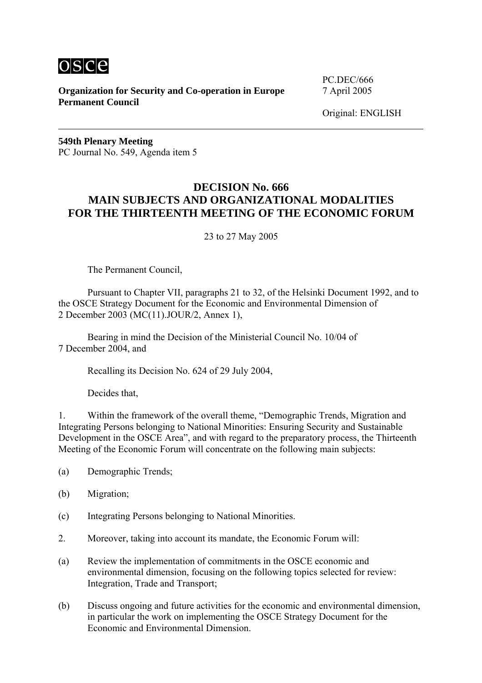

**Organization for Security and Co-operation in Europe** 7 April 2005 **Permanent Council** 

PC.DEC/666

Original: ENGLISH

**549th Plenary Meeting**  PC Journal No. 549, Agenda item 5

## **DECISION No. 666 MAIN SUBJECTS AND ORGANIZATIONAL MODALITIES FOR THE THIRTEENTH MEETING OF THE ECONOMIC FORUM**

23 to 27 May 2005

The Permanent Council,

 Pursuant to Chapter VII, paragraphs 21 to 32, of the Helsinki Document 1992, and to the OSCE Strategy Document for the Economic and Environmental Dimension of 2 December 2003 (MC(11).JOUR/2, Annex 1),

Bearing in mind the Decision of the Ministerial Council No. 10/04 of 7 December 2004, and

Recalling its Decision No. 624 of 29 July 2004,

Decides that,

1. Within the framework of the overall theme, "Demographic Trends, Migration and Integrating Persons belonging to National Minorities: Ensuring Security and Sustainable Development in the OSCE Area", and with regard to the preparatory process, the Thirteenth Meeting of the Economic Forum will concentrate on the following main subjects:

- (a) Demographic Trends;
- (b) Migration;
- (c) Integrating Persons belonging to National Minorities.
- 2. Moreover, taking into account its mandate, the Economic Forum will:
- (a) Review the implementation of commitments in the OSCE economic and environmental dimension, focusing on the following topics selected for review: Integration, Trade and Transport;
- (b) Discuss ongoing and future activities for the economic and environmental dimension, in particular the work on implementing the OSCE Strategy Document for the Economic and Environmental Dimension.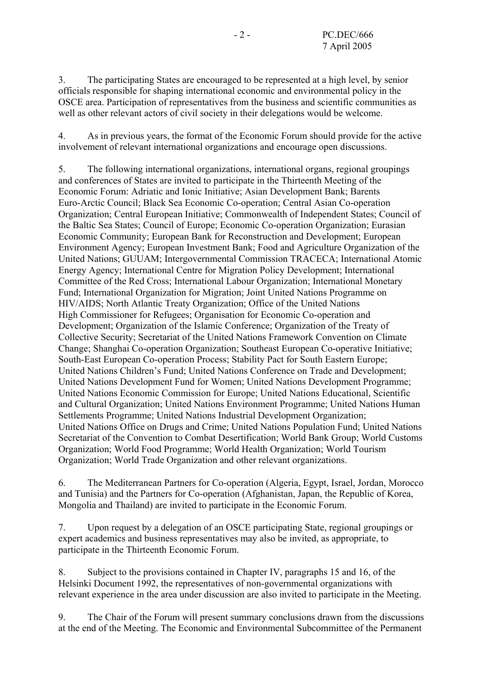3. The participating States are encouraged to be represented at a high level, by senior officials responsible for shaping international economic and environmental policy in the OSCE area. Participation of representatives from the business and scientific communities as well as other relevant actors of civil society in their delegations would be welcome.

4. As in previous years, the format of the Economic Forum should provide for the active involvement of relevant international organizations and encourage open discussions.

5. The following international organizations, international organs, regional groupings and conferences of States are invited to participate in the Thirteenth Meeting of the Economic Forum: Adriatic and Ionic Initiative; Asian Development Bank; Barents Euro-Arctic Council; Black Sea Economic Co-operation; Central Asian Co-operation Organization; Central European Initiative; Commonwealth of Independent States; Council of the Baltic Sea States; Council of Europe; Economic Co-operation Organization; Eurasian Economic Community; European Bank for Reconstruction and Development; European Environment Agency; European Investment Bank; Food and Agriculture Organization of the United Nations; GUUAM; Intergovernmental Commission TRACECA; International Atomic Energy Agency; International Centre for Migration Policy Development; International Committee of the Red Cross; International Labour Organization; International Monetary Fund; International Organization for Migration; Joint United Nations Programme on HIV/AIDS; North Atlantic Treaty Organization; Office of the United Nations High Commissioner for Refugees; Organisation for Economic Co-operation and Development; Organization of the Islamic Conference; Organization of the Treaty of Collective Security; Secretariat of the United Nations Framework Convention on Climate Change; Shanghai Co-operation Organization; Southeast European Co-operative Initiative; South-East European Co-operation Process; Stability Pact for South Eastern Europe; United Nations Children's Fund; United Nations Conference on Trade and Development; United Nations Development Fund for Women; United Nations Development Programme; United Nations Economic Commission for Europe; United Nations Educational, Scientific and Cultural Organization; United Nations Environment Programme; United Nations Human Settlements Programme; United Nations Industrial Development Organization; United Nations Office on Drugs and Crime; United Nations Population Fund; United Nations Secretariat of the Convention to Combat Desertification; World Bank Group; World Customs Organization; World Food Programme; World Health Organization; World Tourism Organization; World Trade Organization and other relevant organizations.

6. The Mediterranean Partners for Co-operation (Algeria, Egypt, Israel, Jordan, Morocco and Tunisia) and the Partners for Co-operation (Afghanistan, Japan, the Republic of Korea, Mongolia and Thailand) are invited to participate in the Economic Forum.

7. Upon request by a delegation of an OSCE participating State, regional groupings or expert academics and business representatives may also be invited, as appropriate, to participate in the Thirteenth Economic Forum.

8. Subject to the provisions contained in Chapter IV, paragraphs 15 and 16, of the Helsinki Document 1992, the representatives of non-governmental organizations with relevant experience in the area under discussion are also invited to participate in the Meeting.

9. The Chair of the Forum will present summary conclusions drawn from the discussions at the end of the Meeting. The Economic and Environmental Subcommittee of the Permanent